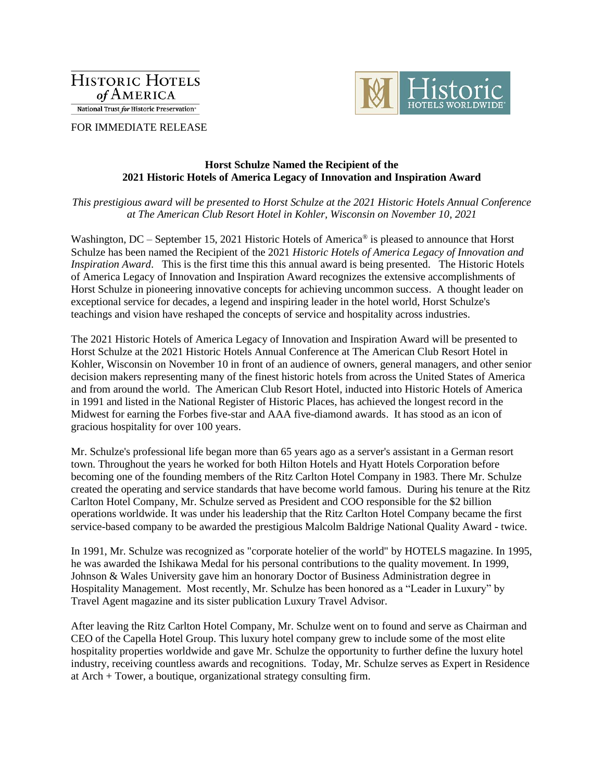**HISTORIC HOTELS** of AMERICA National Trust for Historic Preservation\*



FOR IMMEDIATE RELEASE

## **Horst Schulze Named the Recipient of the 2021 Historic Hotels of America Legacy of Innovation and Inspiration Award**

*This prestigious award will be presented to Horst Schulze at the 2021 Historic Hotels Annual Conference at The American Club Resort Hotel in Kohler, Wisconsin on November 10, 2021*

Washington, DC – September 15, 2021 Historic Hotels of America® is pleased to announce that Horst Schulze has been named the Recipient of the 2021 *Historic Hotels of America Legacy of Innovation and Inspiration Award*. This is the first time this this annual award is being presented. The Historic Hotels of America Legacy of Innovation and Inspiration Award recognizes the extensive accomplishments of Horst Schulze in pioneering innovative concepts for achieving uncommon success. A thought leader on exceptional service for decades, a legend and inspiring leader in the hotel world, Horst Schulze's teachings and vision have reshaped the concepts of service and hospitality across industries.

The 2021 Historic Hotels of America Legacy of Innovation and Inspiration Award will be presented to Horst Schulze at the 2021 Historic Hotels Annual Conference at The American Club Resort Hotel in Kohler, Wisconsin on November 10 in front of an audience of owners, general managers, and other senior decision makers representing many of the finest historic hotels from across the United States of America and from around the world. The American Club Resort Hotel, inducted into Historic Hotels of America in 1991 and listed in the National Register of Historic Places, has achieved the longest record in the Midwest for earning the Forbes five-star and AAA five-diamond awards. It has stood as an icon of gracious hospitality for over 100 years.

Mr. Schulze's professional life began more than 65 years ago as a server's assistant in a German resort town. Throughout the years he worked for both Hilton Hotels and Hyatt Hotels Corporation before becoming one of the founding members of the Ritz Carlton Hotel Company in 1983. There Mr. Schulze created the operating and service standards that have become world famous. During his tenure at the Ritz Carlton Hotel Company, Mr. Schulze served as President and COO responsible for the \$2 billion operations worldwide. It was under his leadership that the Ritz Carlton Hotel Company became the first service-based company to be awarded the prestigious Malcolm Baldrige National Quality Award - twice.

In 1991, Mr. Schulze was recognized as "corporate hotelier of the world" by HOTELS magazine. In 1995, he was awarded the Ishikawa Medal for his personal contributions to the quality movement. In 1999, Johnson & Wales University gave him an honorary Doctor of Business Administration degree in Hospitality Management. Most recently, Mr. Schulze has been honored as a "Leader in Luxury" by Travel Agent magazine and its sister publication Luxury Travel Advisor.

After leaving the Ritz Carlton Hotel Company, Mr. Schulze went on to found and serve as Chairman and CEO of the Capella Hotel Group. This luxury hotel company grew to include some of the most elite hospitality properties worldwide and gave Mr. Schulze the opportunity to further define the luxury hotel industry, receiving countless awards and recognitions. Today, Mr. Schulze serves as Expert in Residence at Arch + Tower, a boutique, organizational strategy consulting firm.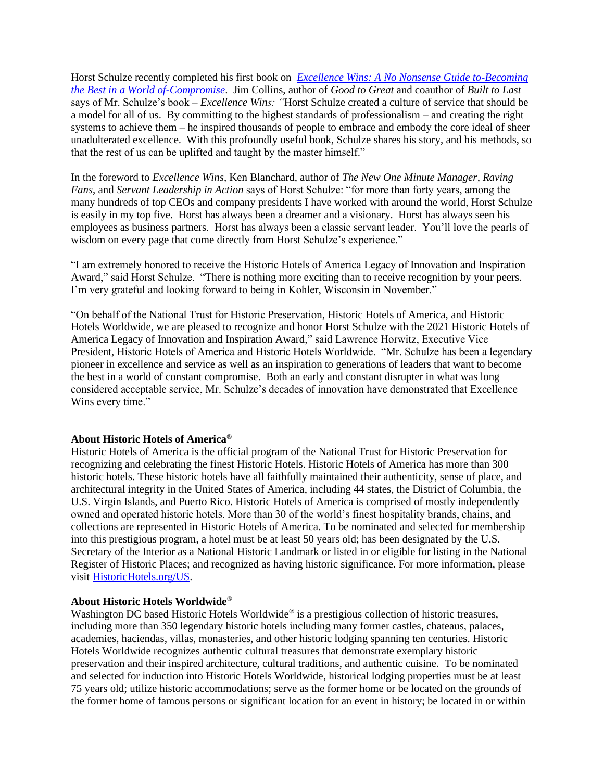Horst Schulze recently completed his first book on *[Excellence Wins: A No Nonsense Guide to-Becoming](https://nam02.safelinks.protection.outlook.com/?url=https%3A%2F%2Fwww.amazon.com%2FExcellence-Wins-No-Nonsense-Becoming-Compromise%2Fdp%2F0310352096%2Fref%3Dsr_1_1%3Fdchild%3D1%26gclid%3DCjwKCAjwp_GJBhBmEiwALWBQk3JmlNPx3EleIevIuTh4xLX3ttkZkbC1wzVt76O5e2VvMU21YEcgExoCMcQQAvD_BwE%26hvadid%3D322336457929%26hvdev%3Dc%26hvlocphy%3D9007531%26hvnetw%3Dg%26hvqmt%3De%26hvrand%3D3815054037810034615%26hvtargid%3Dkwd-623124397899%26hydadcr%3D2734_10399017%26keywords%3Dexcellence%2Bwins%26qid%3D1631381575%26sr%3D8-1&data=04%7C01%7Clhorwitz%40historichotels.org%7C8ea86a9487564f27f13a08d9777cb070%7C6752f108339240eea7291f58085694d7%7C0%7C0%7C637672199721007825%7CUnknown%7CTWFpbGZsb3d8eyJWIjoiMC4wLjAwMDAiLCJQIjoiV2luMzIiLCJBTiI6Ik1haWwiLCJXVCI6Mn0%3D%7C1000&sdata=3q6pLagvAzhUl6uSX4oEOTuXWE2ZONyrqcML7XhUdVU%3D&reserved=0)  [the Best in a World of-Compromise](https://nam02.safelinks.protection.outlook.com/?url=https%3A%2F%2Fwww.amazon.com%2FExcellence-Wins-No-Nonsense-Becoming-Compromise%2Fdp%2F0310352096%2Fref%3Dsr_1_1%3Fdchild%3D1%26gclid%3DCjwKCAjwp_GJBhBmEiwALWBQk3JmlNPx3EleIevIuTh4xLX3ttkZkbC1wzVt76O5e2VvMU21YEcgExoCMcQQAvD_BwE%26hvadid%3D322336457929%26hvdev%3Dc%26hvlocphy%3D9007531%26hvnetw%3Dg%26hvqmt%3De%26hvrand%3D3815054037810034615%26hvtargid%3Dkwd-623124397899%26hydadcr%3D2734_10399017%26keywords%3Dexcellence%2Bwins%26qid%3D1631381575%26sr%3D8-1&data=04%7C01%7Clhorwitz%40historichotels.org%7C8ea86a9487564f27f13a08d9777cb070%7C6752f108339240eea7291f58085694d7%7C0%7C0%7C637672199721007825%7CUnknown%7CTWFpbGZsb3d8eyJWIjoiMC4wLjAwMDAiLCJQIjoiV2luMzIiLCJBTiI6Ik1haWwiLCJXVCI6Mn0%3D%7C1000&sdata=3q6pLagvAzhUl6uSX4oEOTuXWE2ZONyrqcML7XhUdVU%3D&reserved=0)*. Jim Collins, author of *Good to Great* and coauthor of *Built to Last*  says of Mr. Schulze's book *– Excellence Wins: "*Horst Schulze created a culture of service that should be a model for all of us. By committing to the highest standards of professionalism – and creating the right systems to achieve them – he inspired thousands of people to embrace and embody the core ideal of sheer unadulterated excellence. With this profoundly useful book, Schulze shares his story, and his methods, so that the rest of us can be uplifted and taught by the master himself."

In the foreword to *Excellence Wins*, Ken Blanchard, author of *The New One Minute Manager*, *Raving Fans*, and *Servant Leadership in Action* says of Horst Schulze: "for more than forty years, among the many hundreds of top CEOs and company presidents I have worked with around the world, Horst Schulze is easily in my top five. Horst has always been a dreamer and a visionary. Horst has always seen his employees as business partners. Horst has always been a classic servant leader. You'll love the pearls of wisdom on every page that come directly from Horst Schulze's experience."

"I am extremely honored to receive the Historic Hotels of America Legacy of Innovation and Inspiration Award," said Horst Schulze. "There is nothing more exciting than to receive recognition by your peers. I'm very grateful and looking forward to being in Kohler, Wisconsin in November."

"On behalf of the National Trust for Historic Preservation, Historic Hotels of America, and Historic Hotels Worldwide, we are pleased to recognize and honor Horst Schulze with the 2021 Historic Hotels of America Legacy of Innovation and Inspiration Award," said Lawrence Horwitz, Executive Vice President, Historic Hotels of America and Historic Hotels Worldwide. "Mr. Schulze has been a legendary pioneer in excellence and service as well as an inspiration to generations of leaders that want to become the best in a world of constant compromise. Both an early and constant disrupter in what was long considered acceptable service, Mr. Schulze's decades of innovation have demonstrated that Excellence Wins every time."

## **About Historic Hotels of America®**

Historic Hotels of America is the official program of the National Trust for Historic Preservation for recognizing and celebrating the finest Historic Hotels. Historic Hotels of America has more than 300 historic hotels. These historic hotels have all faithfully maintained their authenticity, sense of place, and architectural integrity in the United States of America, including 44 states, the District of Columbia, the U.S. Virgin Islands, and Puerto Rico. Historic Hotels of America is comprised of mostly independently owned and operated historic hotels. More than 30 of the world's finest hospitality brands, chains, and collections are represented in Historic Hotels of America. To be nominated and selected for membership into this prestigious program, a hotel must be at least 50 years old; has been designated by the U.S. Secretary of the Interior as a National Historic Landmark or listed in or eligible for listing in the National Register of Historic Places; and recognized as having historic significance. For more information, please visi[t HistoricHotels.org/](http://www.historichotels.org/)US.

## **About Historic Hotels Worldwide**®

Washington DC based Historic Hotels Worldwide<sup>®</sup> is a prestigious collection of historic treasures, including more than 350 legendary historic hotels including many former castles, chateaus, palaces, academies, haciendas, villas, monasteries, and other historic lodging spanning ten centuries. Historic Hotels Worldwide recognizes authentic cultural treasures that demonstrate exemplary historic preservation and their inspired architecture, cultural traditions, and authentic cuisine. To be nominated and selected for induction into Historic Hotels Worldwide, historical lodging properties must be at least 75 years old; utilize historic accommodations; serve as the former home or be located on the grounds of the former home of famous persons or significant location for an event in history; be located in or within